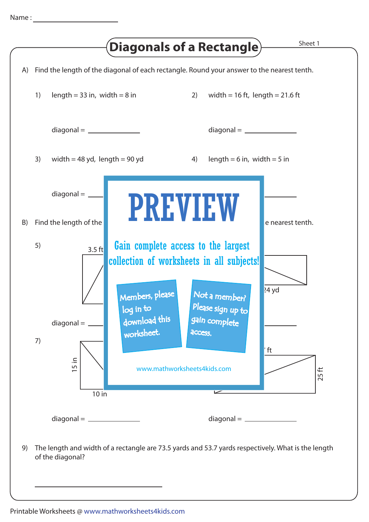